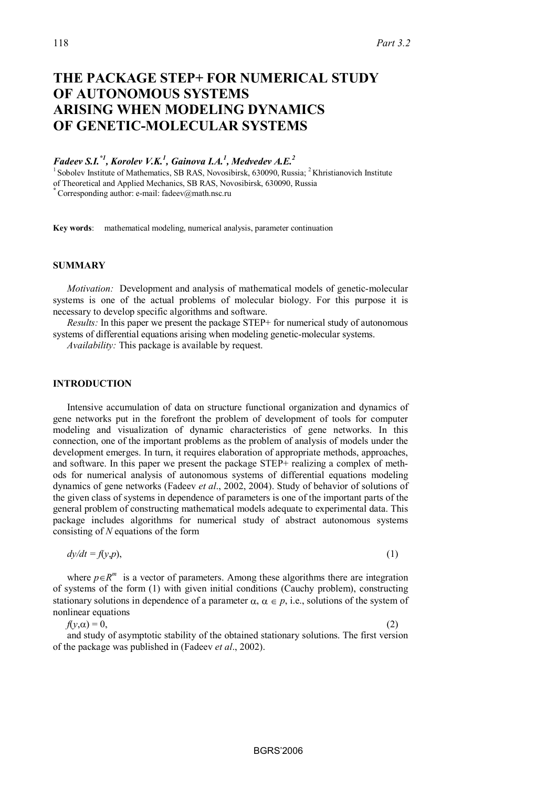# **THE PACKAGE STEP+ FOR NUMERICAL STUDY OF AUTONOMOUS SYSTEMS ARISING WHEN MODELING DYNAMICS OF GENETIC-MOLECULAR SYSTEMS**

*Fadeev S.I.\*1, Korolev V.K.1 , Gainova I.A.<sup>1</sup> , Medvedev A.E.<sup>2</sup>*

 $1$  Sobolev Institute of Mathematics, SB RAS, Novosibirsk, 630090, Russia;  $2$  Khristianovich Institute of Theoretical and Applied Mechanics, SB RAS, Novosibirsk, 630090, Russia

**\*** Corresponding author: e-mail: fadeev@math.nsc.ru

**Key words**: mathematical modeling, numerical analysis, parameter continuation

## **SUMMARY**

*Motivation:* Development and analysis of mathematical models of genetic-molecular systems is one of the actual problems of molecular biology. For this purpose it is necessary to develop specific algorithms and software.

*Results:* In this paper we present the package STEP+ for numerical study of autonomous systems of differential equations arising when modeling genetic-molecular systems.

*Availability:* This package is available by request.

### **INTRODUCTION**

Intensive accumulation of data on structure functional organization and dynamics of gene networks put in the forefront the problem of development of tools for computer modeling and visualization of dynamic characteristics of gene networks. In this connection, one of the important problems as the problem of analysis of models under the development emerges. In turn, it requires elaboration of appropriate methods, approaches, and software. In this paper we present the package STEP+ realizing a complex of methods for numerical analysis of autonomous systems of differential equations modeling dynamics of gene networks (Fadeev *et al*., 2002, 2004). Study of behavior of solutions of the given class of systems in dependence of parameters is one of the important parts of the general problem of constructing mathematical models adequate to experimental data. This package includes algorithms for numerical study of abstract autonomous systems consisting of *N* equations of the form

$$
dy/dt = f(y, p),\tag{1}
$$

where  $p \in R^m$  is a vector of parameters. Among these algorithms there are integration of systems of the form (1) with given initial conditions (Cauchy problem), constructing stationary solutions in dependence of a parameter  $\alpha$ ,  $\alpha \in p$ , i.e., solutions of the system of nonlinear equations

 $f(y,\alpha) = 0$ ,

and study of asymptotic stability of the obtained stationary solutions. The first version of the package was published in (Fadeev *et al*., 2002).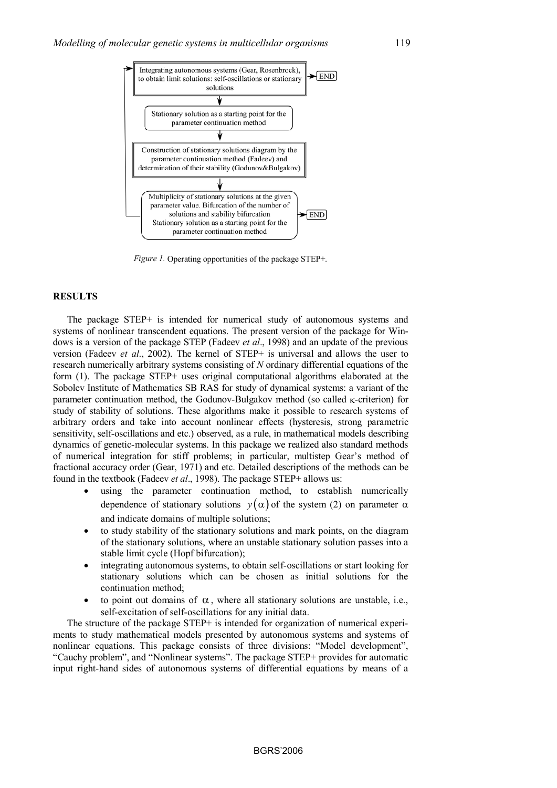

*Figure 1.* Operating opportunities of the package STEP+.

#### **RESULTS**

The package STEP+ is intended for numerical study of autonomous systems and systems of nonlinear transcendent equations. The present version of the package for Windows is a version of the package STEP (Fadeev *et al*., 1998) and an update of the previous version (Fadeev *et al*., 2002). The kernel of STEP+ is universal and allows the user to research numerically arbitrary systems consisting of *N* ordinary differential equations of the form (1). The package STEP+ uses original computational algorithms elaborated at the Sobolev Institute of Mathematics SB RAS for study of dynamical systems: a variant of the parameter continuation method, the Godunov-Bulgakov method (so called κ-criterion) for study of stability of solutions. These algorithms make it possible to research systems of arbitrary orders and take into account nonlinear effects (hysteresis, strong parametric sensitivity, self-oscillations and etc.) observed, as a rule, in mathematical models describing dynamics of genetic-molecular systems. In this package we realized also standard methods of numerical integration for stiff problems; in particular, multistep Gear's method of fractional accuracy order (Gear, 1971) and etc. Detailed descriptions of the methods can be found in the textbook (Fadeev *et al*., 1998). The package STEP+ allows us:

- using the parameter continuation method, to establish numerically dependence of stationary solutions  $y(\alpha)$  of the system (2) on parameter  $\alpha$ and indicate domains of multiple solutions;
- to study stability of the stationary solutions and mark points, on the diagram of the stationary solutions, where an unstable stationary solution passes into a stable limit cycle (Hopf bifurcation);
- integrating autonomous systems, to obtain self-oscillations or start looking for stationary solutions which can be chosen as initial solutions for the continuation method;
- to point out domains of  $\alpha$ , where all stationary solutions are unstable, i.e., self-excitation of self-oscillations for any initial data.

The structure of the package STEP+ is intended for organization of numerical experiments to study mathematical models presented by autonomous systems and systems of nonlinear equations. This package consists of three divisions: "Model development", "Cauchy problem", and "Nonlinear systems". The package STEP+ provides for automatic input right-hand sides of autonomous systems of differential equations by means of a